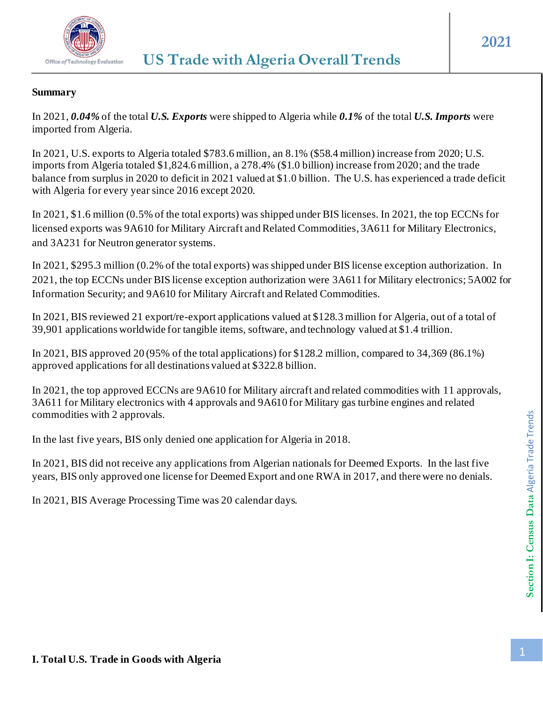

## **Summary**

In 2021, *0.04%* of the total *U.S. Exports* were shipped to Algeria while *0.1%* of the total *U.S. Imports* were imported from Algeria.

In 2021, U.S. exports to Algeria totaled \$783.6 million, an 8.1% (\$58.4 million) increase from 2020; U.S. imports from Algeria totaled \$1,824.6 million, a 278.4% (\$1.0 billion) increase from 2020; and the trade balance from surplus in 2020 to deficit in 2021 valued at \$1.0 billion. The U.S. has experienced a trade deficit with Algeria for every year since 2016 except 2020.

In 2021, \$1.6 million (0.5% of the total exports) was shipped under BIS licenses. In 2021, the top ECCNs for licensed exports was 9A610 for Military Aircraft and Related Commodities, 3A611 for Military Electronics, and 3A231 for Neutron generator systems.

In 2021, \$295.3 million (0.2% of the total exports) was shipped under BIS license exception authorization. In 2021, the top ECCNs under BIS license exception authorization were 3A611 for Military electronics; 5A002 for Information Security; and 9A610 for Military Aircraft and Related Commodities.

In 2021, BIS reviewed 21 export/re-export applications valued at \$128.3 million for Algeria, out of a total of 39,901 applications worldwide for tangible items, software, and technology valued at \$1.4 trillion.

In 2021, BIS approved 20 (95% of the total applications) for \$128.2 million, compared to 34,369 (86.1%) approved applications for all destinations valued at \$322.8 billion.

In 2021, the top approved ECCNs are 9A610 for Military aircraft and related commodities with 11 approvals, 3A611 for Military electronics with 4 approvals and 9A610 for Military gas turbine engines and related commodities with 2 approvals.

In the last five years, BIS only denied one application for Algeria in 2018.

In 2021, BIS did not receive any applications from Algerian nationals for Deemed Exports. In the last five years, BIS only approved one license for Deemed Export and one RWA in 2017, and there were no denials.

In 2021, BIS Average Processing Time was 20 calendar days.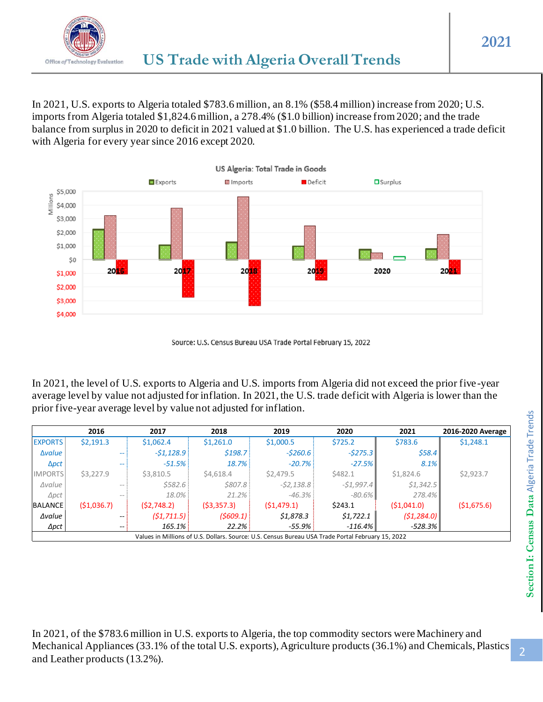

In 2021, U.S. exports to Algeria totaled \$783.6 million, an 8.1% (\$58.4 million) increase from 2020; U.S. imports from Algeria totaled \$1,824.6 million, a 278.4% (\$1.0 billion) increase from 2020; and the trade balance from surplus in 2020 to deficit in 2021 valued at \$1.0 billion. The U.S. has experienced a trade deficit with Algeria for every year since 2016 except 2020.



Source: U.S. Census Bureau USA Trade Portal February 15, 2022

In 2021, the level of U.S. exports to Algeria and U.S. imports from Algeria did not exceed the prior five-year average level by value not adjusted for inflation. In 2021, the U.S. trade deficit with Algeria is lower than the prior five-year average level by value not adjusted for inflation.

|                | 2016                     | 2017        | 2018       | 2019                                                                                              | 2020        | 2021        | 2016-2020 Average |
|----------------|--------------------------|-------------|------------|---------------------------------------------------------------------------------------------------|-------------|-------------|-------------------|
| <b>EXPORTS</b> | \$2,191.3                | \$1,062.4   | \$1,261.0  | \$1,000.5                                                                                         | \$725.2     | \$783.6     | \$1,248.1         |
| Δ <i>value</i> | --                       | $-51,128.9$ | \$198.7    | $-5260.6$                                                                                         | $-5275.3$   | \$58.4\$    |                   |
| $\Delta pct$   | $- -$                    | $-51.5%$    | 18.7%      | $-20.7\%$                                                                                         | $-27.5%$    | 8.1%        |                   |
| <b>IMPORTS</b> | \$3,227.9                | \$3,810.5   | \$4,618.4  | \$2,479.5                                                                                         | \$482.1     | \$1,824.6   | \$2,923.7         |
| $\Delta$ value | $- -$                    | \$582.6     | \$807.8    | $-52,138.8$                                                                                       | $-51,997.4$ | \$1,342.5   |                   |
| $\Delta pct$   | $- -$                    | 18.0%       | $21.2\%$   | $-46.3\%$                                                                                         | $-80.6%$    | 278.4%      |                   |
| <b>BALANCE</b> | ( \$1,036.7)             | (52,748.2)  | (53,357.3) | (51, 479.1)                                                                                       | \$243.1     | (51,041.0)  | (51,675.6)        |
| ∆value         | $\overline{\phantom{m}}$ | (51, 711.5) | (5609.1)   | \$1,878.3                                                                                         | \$1,722.1   | (51, 284.0) |                   |
| $\Delta pct$   | $\hspace{0.05cm}$        | 165.1%      | 22.2%      | $-55.9%$                                                                                          | $-116.4\%$  | $-528.3\%$  |                   |
|                |                          |             |            | Values in Millions of U.S. Dollars. Source: U.S. Census Bureau USA Trade Portal February 15, 2022 |             |             |                   |

In 2021, of the \$783.6 million in U.S. exports to Algeria, the top commodity sectors were Machinery and Mechanical Appliances (33.1% of the total U.S. exports), Agriculture products (36.1%) and Chemicals, Plastics and Leather products (13.2%).

2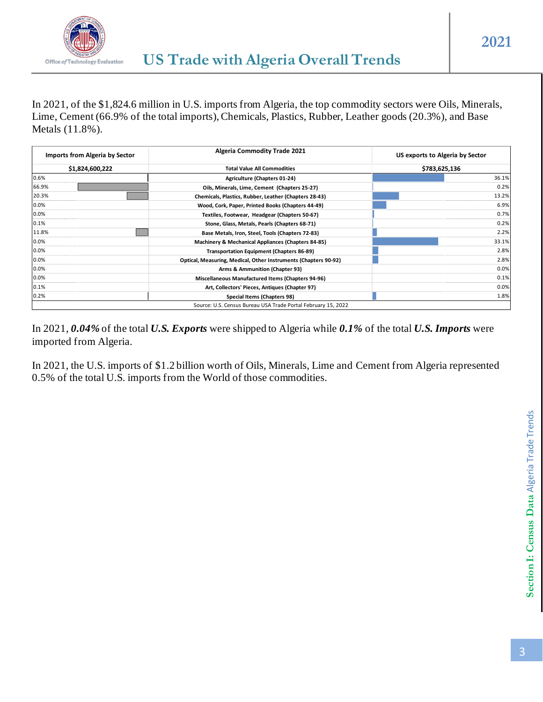

In 2021, of the \$1,824.6 million in U.S. imports from Algeria, the top commodity sectors were Oils, Minerals, Lime, Cement (66.9% of the total imports), Chemicals, Plastics, Rubber, Leather goods (20.3%), and Base Metals (11.8%).

| Imports from Algeria by Sector | <b>Algeria Commodity Trade 2021</b>                             | US exports to Algeria by Sector<br>\$783,625,136 |  |  |
|--------------------------------|-----------------------------------------------------------------|--------------------------------------------------|--|--|
| \$1,824,600,222                | <b>Total Value All Commodities</b>                              |                                                  |  |  |
| 0.6%                           | Agriculture (Chapters 01-24)                                    | 36.1%                                            |  |  |
| 66.9%                          | Oils, Minerals, Lime, Cement (Chapters 25-27)                   | 0.2%                                             |  |  |
| 20.3%                          | Chemicals, Plastics, Rubber, Leather (Chapters 28-43)           | 13.2%                                            |  |  |
| 0.0%                           | Wood, Cork, Paper, Printed Books (Chapters 44-49)               | 6.9%                                             |  |  |
| 0.0%                           | Textiles, Footwear, Headgear (Chapters 50-67)                   | 0.7%                                             |  |  |
| 0.1%                           | Stone, Glass, Metals, Pearls (Chapters 68-71)                   | 0.2%                                             |  |  |
| 11.8%                          | Base Metals, Iron, Steel, Tools (Chapters 72-83)                | 2.2%                                             |  |  |
| 0.0%                           | Machinery & Mechanical Appliances (Chapters 84-85)              | 33.1%                                            |  |  |
| 0.0%                           | <b>Transportation Equipment (Chapters 86-89)</b>                | 2.8%                                             |  |  |
| 0.0%                           | Optical, Measuring, Medical, Other Instruments (Chapters 90-92) | 2.8%                                             |  |  |
| 0.0%                           | Arms & Ammunition (Chapter 93)                                  | 0.0%                                             |  |  |
| 0.0%                           | Miscellaneous Manufactured Items (Chapters 94-96)               | 0.1%                                             |  |  |
| 0.1%                           | Art, Collectors' Pieces, Antiques (Chapter 97)                  | 0.0%                                             |  |  |
| 0.2%                           | Special Items (Chapters 98)                                     | 1.8%                                             |  |  |
|                                | Source: U.S. Census Bureau USA Trade Portal February 15, 2022   |                                                  |  |  |

In 2021, *0.04%* of the total *U.S. Exports* were shipped to Algeria while *0.1%* of the total *U.S. Imports* were imported from Algeria.

In 2021, the U.S. imports of \$1.2 billion worth of Oils, Minerals, Lime and Cement from Algeria represented 0.5% of the total U.S. imports from the World of those commodities.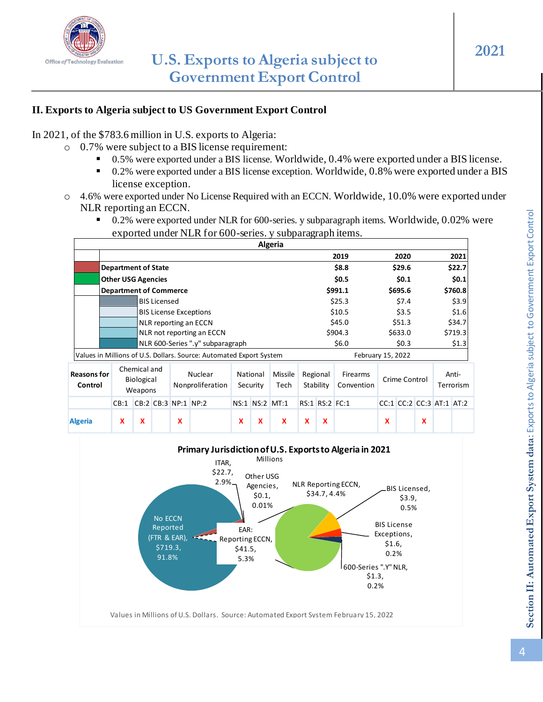

### **II. Exports to Algeria subject to US Government Export Control**

In 2021, of the \$783.6 million in U.S. exports to Algeria:

- o 0.7% were subject to a BIS license requirement:
	- 0.5% were exported under a BIS license. Worldwide, 0.4% were exported under a BIS license.
	- 0.2% were exported under a BIS license exception. Worldwide, 0.8% were exported under a BIS license exception.
- o 4.6% were exported under No License Required with an ECCN. Worldwide, 10.0% were exported under NLR reporting an ECCN.
	- 0.2% were exported under NLR for 600-series. y subparagraph items. Worldwide, 0.02% were exported under NLR for 600-series. y subparagraph items.

|                               |                               |                                       |                     |   |                                                                     |   |                      | Algeria         |   |                       |                               |   |                          |   |                    |
|-------------------------------|-------------------------------|---------------------------------------|---------------------|---|---------------------------------------------------------------------|---|----------------------|-----------------|---|-----------------------|-------------------------------|---|--------------------------|---|--------------------|
|                               |                               |                                       |                     |   |                                                                     |   |                      |                 |   |                       | 2019                          |   | 2020                     |   | 2021               |
|                               | <b>Department of State</b>    |                                       |                     |   |                                                                     |   |                      |                 |   |                       | \$8.8                         |   | \$29.6                   |   | \$22.7             |
|                               | <b>Other USG Agencies</b>     |                                       |                     |   |                                                                     |   |                      |                 |   |                       | \$0.5                         |   | \$0.1                    |   | \$0.1              |
|                               | <b>Department of Commerce</b> |                                       |                     |   |                                                                     |   |                      |                 |   |                       | \$991.1                       |   | \$695.6                  |   | \$760.8            |
|                               |                               |                                       | <b>BIS Licensed</b> |   |                                                                     |   |                      |                 |   |                       | \$25.3                        |   | \$7.4                    |   | \$3.9              |
|                               |                               |                                       |                     |   | <b>BIS License Exceptions</b>                                       |   |                      |                 |   |                       | \$10.5                        |   | \$3.5                    |   | \$1.6              |
|                               |                               |                                       |                     |   | NLR reporting an ECCN                                               |   |                      |                 |   |                       | \$45.0                        |   | \$51.3                   |   | \$34.7             |
|                               |                               |                                       |                     |   | NLR not reporting an ECCN                                           |   |                      |                 |   |                       | \$904.3                       |   | \$633.0                  |   | \$719.3            |
|                               |                               |                                       |                     |   | NLR 600-Series ".y" subparagraph                                    |   |                      |                 |   |                       | \$6.0                         |   | \$0.3\$                  |   | \$1.3              |
|                               |                               |                                       |                     |   | Values in Millions of U.S. Dollars. Source: Automated Export System |   |                      |                 |   |                       | February 15, 2022             |   |                          |   |                    |
| <b>Reasons for</b><br>Control |                               | Chemical and<br>Biological<br>Weapons |                     |   | Nuclear<br>Nonproliferation                                         |   | National<br>Security | Missile<br>Tech |   | Regional<br>Stability | <b>Firearms</b><br>Convention |   | Crime Control            |   | Anti-<br>Terrorism |
|                               | CB:1                          |                                       | CB:2 CB:3 NP:1 NP:2 |   |                                                                     |   |                      | NS:1 NS:2 MT:1  |   | RS:1 RS:2 FC:1        |                               |   | CC:1 CC:2 CC:3 AT:1 AT:2 |   |                    |
| <b>Algeria</b>                | x                             | x                                     |                     | X |                                                                     | X | x                    | X               | X | x                     |                               | x |                          | x |                    |

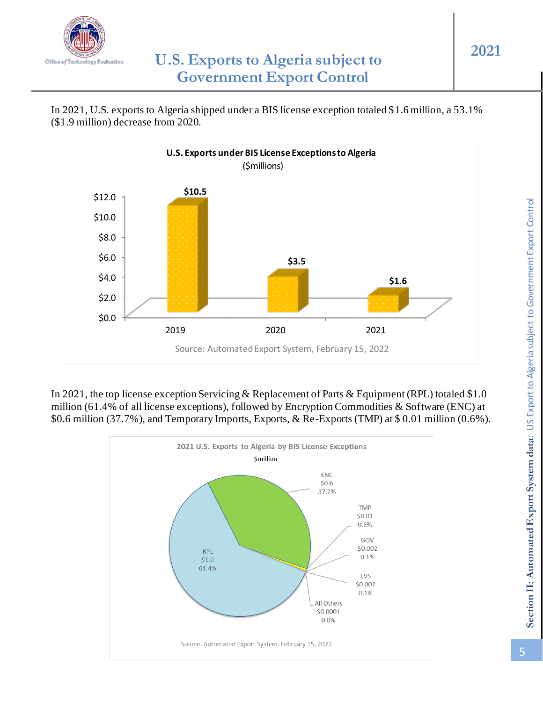

In 2021, U.S. exports to Algeria shipped under a BIS license exception totaled \$1.6 million, a 53.1% (\$1.9 million) decrease from 2020.



In 2021, the top license exception Servicing & Replacement of Parts & Equipment (RPL) totaled \$1.0 million (61.4% of all license exceptions), followed by Encryption Commodities & Software (ENC) at \$0.6 million (37.7%), and Temporary Imports, Exports, & Re-Exports (TMP) at \$ 0.01 million (0.6%).

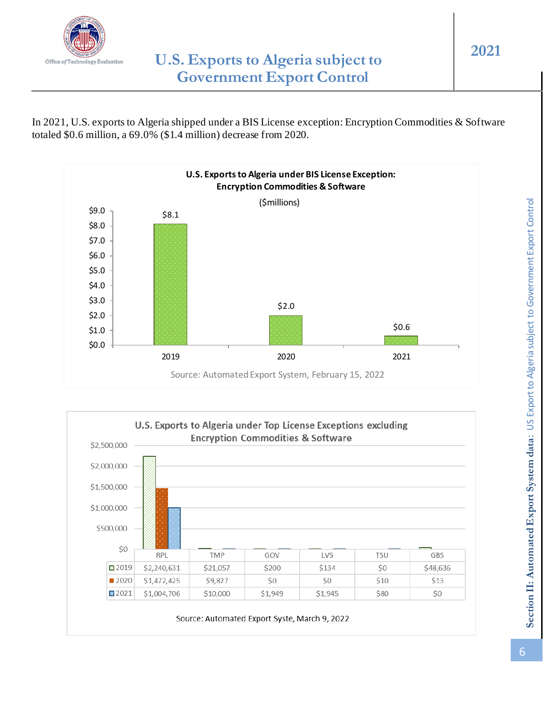

In 2021, U.S. exports to Algeria shipped under a BIS License exception: Encryption Commodities & Software totaled \$0.6 million, a 69.0% (\$1.4 million) decrease from 2020.



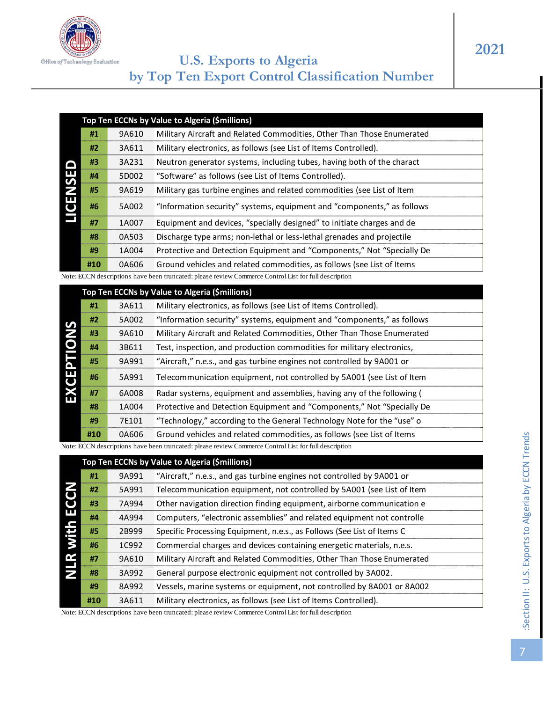

|    |       | pp Ten ECCNs by Value to Algeria (\$millions)                          |
|----|-------|------------------------------------------------------------------------|
| #1 | 9A610 | Military Aircraft and Related Commodities, Other Than Those Enumerated |
| #2 | 3A611 | Military electronics, as follows (see List of Items Controlled).       |

|   | #2  | 3A611 | Military electronics, as follows (see List of Items Controlled).       |
|---|-----|-------|------------------------------------------------------------------------|
|   | #3  | 3A231 | Neutron generator systems, including tubes, having both of the charact |
|   | #4  | 5D002 | "Software" as follows (see List of Items Controlled).                  |
|   | #5  | 9A619 | Military gas turbine engines and related commodities (see List of Item |
| ш | #6  | 5A002 | "Information security" systems, equipment and "components," as follows |
|   | #7  | 1A007 | Equipment and devices, "specially designed" to initiate charges and de |
|   | #8  | 0A503 | Discharge type arms; non-lethal or less-lethal grenades and projectile |
|   | #9  | 1A004 | Protective and Detection Equipment and "Components," Not "Specially De |
|   | #10 | 0A606 | Ground vehicles and related commodities, as follows (see List of Items |

|                      |     |       | Top Ten ECCNs by Value to Algeria (\$millions)                                                        |
|----------------------|-----|-------|-------------------------------------------------------------------------------------------------------|
|                      | #1  | 9A610 | Military Aircraft and Related Commodities, Other Than Those Enumerated                                |
|                      | #2  | 3A611 | Military electronics, as follows (see List of Items Controlled).                                      |
|                      | #3  | 3A231 | Neutron generator systems, including tubes, having both of the charact                                |
|                      | #4  | 5D002 | "Software" as follows (see List of Items Controlled).                                                 |
|                      | #5  | 9A619 | Military gas turbine engines and related commodities (see List of Item                                |
| LICENSED             | #6  | 5A002 | "Information security" systems, equipment and "components," as follows                                |
|                      | #7  | 1A007 | Equipment and devices, "specially designed" to initiate charges and de                                |
|                      | #8  | 0A503 | Discharge type arms; non-lethal or less-lethal grenades and projectile                                |
|                      | #9  | 1A004 | Protective and Detection Equipment and "Components," Not "Specially De                                |
|                      | #10 | 0A606 | Ground vehicles and related commodities, as follows (see List of Items                                |
|                      |     |       | Note: ECCN descriptions have been truncated: please review Commerce Control List for full description |
|                      |     |       | Top Ten ECCNs by Value to Algeria (\$millions)                                                        |
|                      | #1  | 3A611 | Military electronics, as follows (see List of Items Controlled).                                      |
|                      | #2  | 5A002 | "Information security" systems, equipment and "components," as follows                                |
|                      | #3  | 9A610 | Military Aircraft and Related Commodities, Other Than Those Enumerated                                |
|                      | #4  | 3B611 | Test, inspection, and production commodities for military electronics,                                |
|                      | #5  | 9A991 | "Aircraft," n.e.s., and gas turbine engines not controlled by 9A001 or                                |
| EXCEPTIONS           | #6  | 5A991 | Telecommunication equipment, not controlled by 5A001 (see List of Item                                |
|                      | #7  | 6A008 | Radar systems, equipment and assemblies, having any of the following (                                |
|                      | #8  | 1A004 | Protective and Detection Equipment and "Components," Not "Specially De                                |
|                      | #9  | 7E101 | "Technology," according to the General Technology Note for the "use" o                                |
|                      | #10 | 0A606 | Ground vehicles and related commodities, as follows (see List of Items                                |
|                      |     |       | Note: ECCN descriptions have been truncated: please review Commerce Control List for full description |
|                      |     |       | Top Ten ECCNs by Value to Algeria (\$millions)                                                        |
|                      | #1  | 9A991 | "Aircraft," n.e.s., and gas turbine engines not controlled by 9A001 or                                |
|                      | #2  | 5A991 | Telecommunication equipment, not controlled by 5A001 (see List of Item                                |
|                      | #3  | 7A994 | Other navigation direction finding equipment, airborne communication e                                |
| <b>NLR with ECCN</b> | #4  | 4A994 | Computers, "electronic assemblies" and related equipment not controlle                                |
|                      | #5  | 2B999 | Specific Processing Equipment, n.e.s., as Follows (See List of Items C                                |
|                      | #6  | 1C992 | Commercial charges and devices containing energetic materials, n.e.s.                                 |
|                      | #7  | 9A610 | Military Aircraft and Related Commodities, Other Than Those Enumerated                                |
|                      | #8  | 3A992 | General purpose electronic equipment not controlled by 3A002.                                         |

|                      |     |       | $\frac{1}{2}$                                                                                         |
|----------------------|-----|-------|-------------------------------------------------------------------------------------------------------|
|                      | #3  | 9A610 | Military Aircraft and Related Commodities, Other Than Those Enumerated                                |
|                      | #4  | 3B611 | Test, inspection, and production commodities for military electronics,                                |
|                      | #5  | 9A991 | "Aircraft," n.e.s., and gas turbine engines not controlled by 9A001 or                                |
| <b>EXCEPTIONS</b>    | #6  | 5A991 | Telecommunication equipment, not controlled by 5A001 (see List of Item                                |
|                      | #7  | 6A008 | Radar systems, equipment and assemblies, having any of the following (                                |
|                      | #8  | 1A004 | Protective and Detection Equipment and "Components," Not "Specially De                                |
|                      | #9  | 7E101 | "Technology," according to the General Technology Note for the "use" o                                |
|                      | #10 | 0A606 | Ground vehicles and related commodities, as follows (see List of Items                                |
|                      |     |       | Note: ECCN descriptions have been truncated: please review Commerce Control List for full description |
|                      |     |       |                                                                                                       |
|                      |     |       | Top Ten ECCNs by Value to Algeria (\$millions)                                                        |
|                      | #1  | 9A991 | "Aircraft," n.e.s., and gas turbine engines not controlled by 9A001 or                                |
|                      | #2  | 5A991 | Telecommunication equipment, not controlled by 5A001 (see List of Item                                |
|                      | #3  | 7A994 | Other navigation direction finding equipment, airborne communication e                                |
|                      | #4  | 4A994 | Computers, "electronic assemblies" and related equipment not controlle                                |
|                      | #5  | 2B999 | Specific Processing Equipment, n.e.s., as Follows (See List of Items C                                |
|                      | #6  | 1C992 | Commercial charges and devices containing energetic materials, n.e.s.                                 |
|                      | #7  | 9A610 | Military Aircraft and Related Commodities, Other Than Those Enumerated                                |
| <b>NLR with ECCN</b> | #8  | 3A992 | General purpose electronic equipment not controlled by 3A002.                                         |
|                      | #9  | 8A992 | Vessels, marine systems or equipment, not controlled by 8A001 or 8A002                                |
|                      | #10 | 3A611 | Military electronics, as follows (see List of Items Controlled).                                      |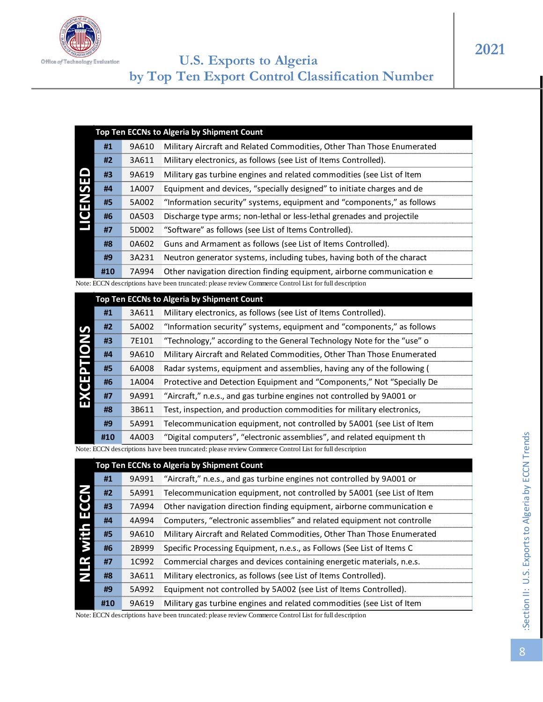

|   |                                                                                       |       | Top Ten ECCNs to Algeria by Shipment Count                             |  |  |  |  |
|---|---------------------------------------------------------------------------------------|-------|------------------------------------------------------------------------|--|--|--|--|
|   | #1<br>Military Aircraft and Related Commodities, Other Than Those Enumerated<br>9A610 |       |                                                                        |  |  |  |  |
|   | #2                                                                                    | 3A611 | Military electronics, as follows (see List of Items Controlled).       |  |  |  |  |
|   | #3                                                                                    | 9A619 | Military gas turbine engines and related commodities (see List of Item |  |  |  |  |
|   | #4                                                                                    | 1A007 | Equipment and devices, "specially designed" to initiate charges and de |  |  |  |  |
| ш | #5                                                                                    | 5A002 | "Information security" systems, equipment and "components," as follows |  |  |  |  |
|   | #6                                                                                    | 0A503 | Discharge type arms; non-lethal or less-lethal grenades and projectile |  |  |  |  |
|   | #7                                                                                    | 5D002 | "Software" as follows (see List of Items Controlled).                  |  |  |  |  |
|   | #8                                                                                    | 0A602 | Guns and Armament as follows (see List of Items Controlled).           |  |  |  |  |
|   | #9                                                                                    | 3A231 | Neutron generator systems, including tubes, having both of the charact |  |  |  |  |
|   | #10                                                                                   | 7A994 | Other navigation direction finding equipment, airborne communication e |  |  |  |  |

|                      |     |       | Top Ten ECCNs to Algeria by Shipment Count                                                            |
|----------------------|-----|-------|-------------------------------------------------------------------------------------------------------|
|                      | #1  | 9A610 | Military Aircraft and Related Commodities, Other Than Those Enumerated                                |
|                      | #2  | 3A611 | Military electronics, as follows (see List of Items Controlled).                                      |
|                      | #3  | 9A619 | Military gas turbine engines and related commodities (see List of Item                                |
|                      | #4  | 1A007 | Equipment and devices, "specially designed" to initiate charges and de                                |
| <b>LICENSED</b>      | #5  | 5A002 | "Information security" systems, equipment and "components," as follows                                |
|                      | #6  | 0A503 | Discharge type arms; non-lethal or less-lethal grenades and projectile                                |
|                      | #7  | 5D002 | "Software" as follows (see List of Items Controlled).                                                 |
|                      | #8  | 0A602 | Guns and Armament as follows (see List of Items Controlled).                                          |
|                      | #9  | 3A231 | Neutron generator systems, including tubes, having both of the charact                                |
|                      | #10 | 7A994 | Other navigation direction finding equipment, airborne communication e                                |
|                      |     |       | Note: ECCN descriptions have been truncated: please review Commerce Control List for full description |
|                      |     |       | Top Ten ECCNs to Algeria by Shipment Count                                                            |
|                      | #1  | 3A611 | Military electronics, as follows (see List of Items Controlled).                                      |
|                      | #2  | 5A002 | "Information security" systems, equipment and "components," as follows                                |
|                      | #3  | 7E101 | "Technology," according to the General Technology Note for the "use" o                                |
|                      | #4  | 9A610 | Military Aircraft and Related Commodities, Other Than Those Enumerated                                |
|                      | #5  | 6A008 | Radar systems, equipment and assemblies, having any of the following (                                |
|                      | #6  | 1A004 | Protective and Detection Equipment and "Components," Not "Specially De                                |
| EXCEPTIONS           | #7  | 9A991 | "Aircraft," n.e.s., and gas turbine engines not controlled by 9A001 or                                |
|                      | #8  | 3B611 | Test, inspection, and production commodities for military electronics,                                |
|                      | #9  | 5A991 | Telecommunication equipment, not controlled by 5A001 (see List of Item                                |
|                      | #10 | 4A003 | "Digital computers", "electronic assemblies", and related equipment th                                |
|                      |     |       | Note: ECCN descriptions have been truncated: please review Commerce Control List for full description |
|                      |     |       | Top Ten ECCNs to Algeria by Shipment Count                                                            |
|                      | #1  | 9A991 | "Aircraft," n.e.s., and gas turbine engines not controlled by 9A001 or                                |
|                      | #2  | 5A991 | Telecommunication equipment, not controlled by 5A001 (see List of Item                                |
|                      | #3  | 7A994 | Other navigation direction finding equipment, airborne communication e                                |
|                      | #4  | 4A994 | Computers, "electronic assemblies" and related equipment not controlle                                |
| <b>NLR with ECCN</b> | #5  | 9A610 | Military Aircraft and Related Commodities, Other Than Those Enumerated                                |
|                      | #6  | 2B999 | Specific Processing Equipment, n.e.s., as Follows (See List of Items C                                |
|                      | #7  | 1C992 | Commercial charges and devices containing energetic materials, n.e.s.                                 |
|                      | #8  | 3A611 | Military electronics, as follows (see List of Items Controlled).                                      |

|                      | #L  | SUUAC | information security systems, equipment and components, as idilows                                    |
|----------------------|-----|-------|-------------------------------------------------------------------------------------------------------|
| EXCEPTIONS           | #3  | 7E101 | "Technology," according to the General Technology Note for the "use" o                                |
|                      | #4  | 9A610 | Military Aircraft and Related Commodities, Other Than Those Enumerated                                |
|                      | #5  | 6A008 | Radar systems, equipment and assemblies, having any of the following (                                |
|                      | #6  | 1A004 | Protective and Detection Equipment and "Components," Not "Specially De                                |
|                      | #7  | 9A991 | "Aircraft," n.e.s., and gas turbine engines not controlled by 9A001 or                                |
|                      | #8  | 3B611 | Test, inspection, and production commodities for military electronics,                                |
|                      | #9  | 5A991 | Telecommunication equipment, not controlled by 5A001 (see List of Item                                |
|                      | #10 | 4A003 | "Digital computers", "electronic assemblies", and related equipment th                                |
|                      |     |       | Note: ECCN descriptions have been truncated: please review Commerce Control List for full description |
|                      |     |       | Top Ten ECCNs to Algeria by Shipment Count                                                            |
|                      |     |       |                                                                                                       |
|                      | #1  | 9A991 | "Aircraft," n.e.s., and gas turbine engines not controlled by 9A001 or                                |
|                      | #2  | 5A991 | Telecommunication equipment, not controlled by 5A001 (see List of Item                                |
|                      | #3  | 7A994 | Other navigation direction finding equipment, airborne communication e                                |
|                      | #4  | 4A994 | Computers, "electronic assemblies" and related equipment not controlle                                |
|                      | #5  | 9A610 | Military Aircraft and Related Commodities, Other Than Those Enumerated                                |
|                      | #6  | 2B999 | Specific Processing Equipment, n.e.s., as Follows (See List of Items C                                |
|                      | #7  | 1C992 | Commercial charges and devices containing energetic materials, n.e.s.                                 |
| <b>NLR with ECCN</b> | #8  | 3A611 | Military electronics, as follows (see List of Items Controlled).                                      |
|                      | #9  | 5A992 | Equipment not controlled by 5A002 (see List of Items Controlled).                                     |
|                      | #10 | 9A619 | Military gas turbine engines and related commodities (see List of Item                                |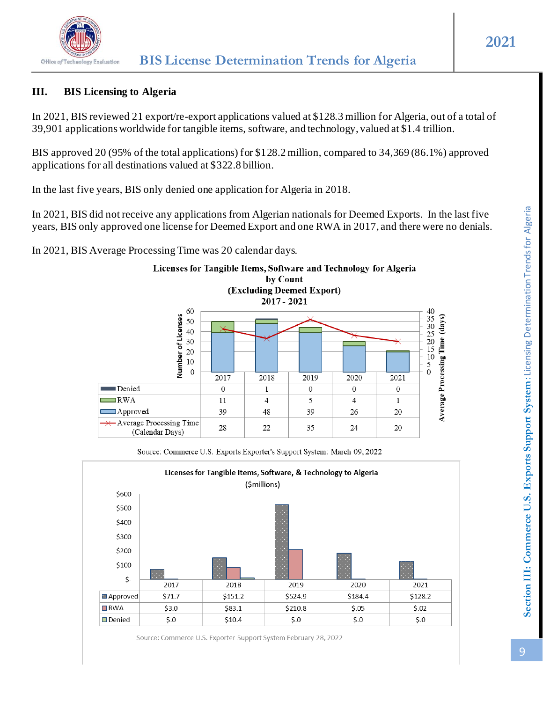

# **III. BIS Licensing to Algeria**

In 2021, BIS reviewed 21 export/re-export applications valued at \$128.3 million for Algeria, out of a total of 39,901 applications worldwide for tangible items, software, and technology, valued at \$1.4 trillion.

BIS approved 20 (95% of the total applications) for \$128.2 million, compared to 34,369 (86.1%) approved applications for all destinations valued at \$322.8 billion.

In the last five years, BIS only denied one application for Algeria in 2018.

In 2021, BIS did not receive any applications from Algerian nationals for Deemed Exports. In the last five years, BIS only approved one license for Deemed Export and one RWA in 2017, and there were no denials.

In 2021, BIS Average Processing Time was 20 calendar days.



Source: Commerce U.S. Exports Exporter's Support System: March 09, 2022

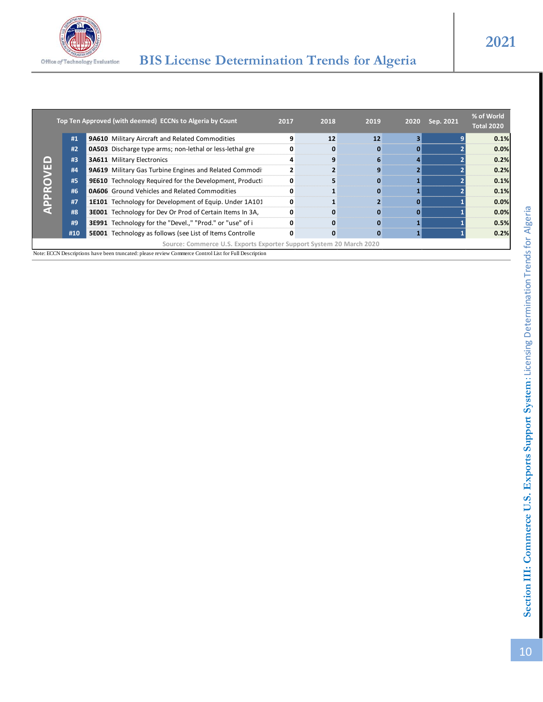

|          |     | Top Ten Approved (with deemed) ECCNs to Algeria by Count                                                                                                                     | 2017 | 2018 | 2019 | 2020         | Sep. 2021 | % of World<br>Total 2020 |
|----------|-----|------------------------------------------------------------------------------------------------------------------------------------------------------------------------------|------|------|------|--------------|-----------|--------------------------|
|          | #1  | 9A610 Military Aircraft and Related Commodities                                                                                                                              | 9    | 12   | 12   | 3            |           | 0.1%                     |
|          | #2  | 0A503 Discharge type arms; non-lethal or less-lethal gre                                                                                                                     | 0    | 0    | 0    | 0            |           | 0.0%                     |
|          | #3  | <b>3A611 Military Electronics</b>                                                                                                                                            | 4    | 9    | 6    | 4            |           | 0.2%                     |
| APPROVED | #4  | 9A619 Military Gas Turbine Engines and Related Commodi                                                                                                                       | 2    |      | 9    | $\mathbf{2}$ |           | 0.2%                     |
|          | #5  | <b>9E610</b> Technology Required for the Development, Producti                                                                                                               | 0    |      | 0    |              |           | 0.1%                     |
|          | #6  | <b>0A606</b> Ground Vehicles and Related Commodities                                                                                                                         | 0    |      | 0    |              |           | 0.1%                     |
|          | #7  | 1E101 Technology for Development of Equip. Under 1A101                                                                                                                       | 0    |      |      | 0            |           | 0.0%                     |
|          | #8  | <b>3E001</b> Technology for Dev Or Prod of Certain Items In 3A,                                                                                                              | 0    | 0    | 0    | 0            |           | 0.0%                     |
|          | #9  | 3E991 Technology for the "Devel.," "Prod." or "use" of i                                                                                                                     | 0    | 0    | 0    |              |           | 0.5%                     |
|          | #10 | <b>5E001</b> Technology as follows (see List of Items Controlle                                                                                                              | 0    | 0    | 0    |              |           | 0.2%                     |
|          |     | Source: Commerce U.S. Exports Exporter Support System 20 March 2020<br>Note: ECCN Descriptions have been truncated: please review Commerce Control List for Full Description |      |      |      |              |           |                          |